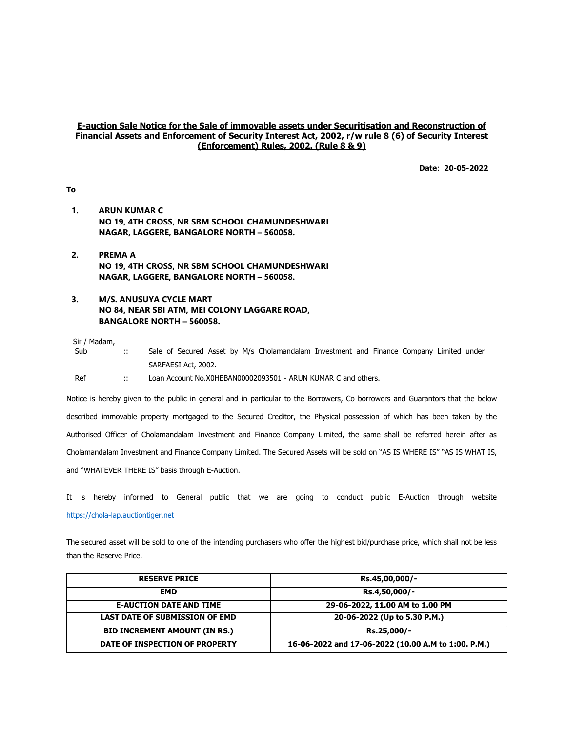## E-auction Sale Notice for the Sale of immovable assets under Securitisation and Reconstruction of Financial Assets and Enforcement of Security Interest Act, 2002, r/w rule 8 (6) of Security Interest (Enforcement) Rules, 2002. (Rule 8 & 9)

Date: 20-05-2022

## To

- 1. ARUN KUMAR C NO 19, 4TH CROSS, NR SBM SCHOOL CHAMUNDESHWARI NAGAR, LAGGERE, BANGALORE NORTH – 560058.
- 2. PREMA A NO 19, 4TH CROSS, NR SBM SCHOOL CHAMUNDESHWARI NAGAR, LAGGERE, BANGALORE NORTH – 560058.
- 3. M/S. ANUSUYA CYCLE MART NO 84, NEAR SBI ATM, MEI COLONY LAGGARE ROAD, BANGALORE NORTH – 560058.

Sir / Madam,

Sub :: Sale of Secured Asset by M/s Cholamandalam Investment and Finance Company Limited under SARFAESI Act, 2002.

Ref :: Loan Account No.X0HEBAN00002093501 - ARUN KUMAR C and others.

Notice is hereby given to the public in general and in particular to the Borrowers, Co borrowers and Guarantors that the below described immovable property mortgaged to the Secured Creditor, the Physical possession of which has been taken by the Authorised Officer of Cholamandalam Investment and Finance Company Limited, the same shall be referred herein after as Cholamandalam Investment and Finance Company Limited. The Secured Assets will be sold on "AS IS WHERE IS" "AS IS WHAT IS, and "WHATEVER THERE IS" basis through E-Auction.

It is hereby informed to General public that we are going to conduct public E-Auction through website https://chola-lap.auctiontiger.net

The secured asset will be sold to one of the intending purchasers who offer the highest bid/purchase price, which shall not be less than the Reserve Price.

| <b>RESERVE PRICE</b>                  | Rs.45,00,000/-                                      |
|---------------------------------------|-----------------------------------------------------|
| <b>EMD</b>                            | Rs.4,50,000/-                                       |
| <b>E-AUCTION DATE AND TIME</b>        | 29-06-2022, 11.00 AM to 1.00 PM                     |
| <b>LAST DATE OF SUBMISSION OF EMD</b> | 20-06-2022 (Up to 5.30 P.M.)                        |
| <b>BID INCREMENT AMOUNT (IN RS.)</b>  | Rs.25,000/-                                         |
| DATE OF INSPECTION OF PROPERTY        | 16-06-2022 and 17-06-2022 (10.00 A.M to 1:00. P.M.) |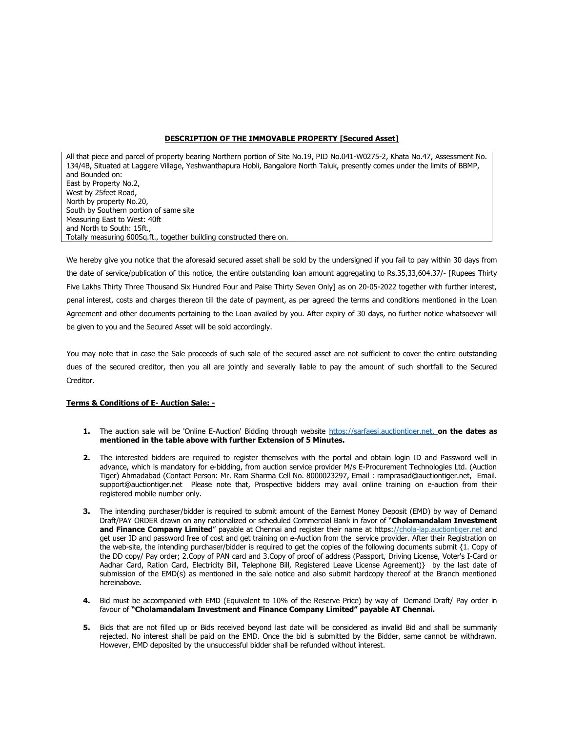## DESCRIPTION OF THE IMMOVABLE PROPERTY [Secured Asset]

All that piece and parcel of property bearing Northern portion of Site No.19, PID No.041-W0275-2, Khata No.47, Assessment No. 134/4B, Situated at Laggere Village, Yeshwanthapura Hobli, Bangalore North Taluk, presently comes under the limits of BBMP, and Bounded on: East by Property No.2, West by 25feet Road, North by property No.20, South by Southern portion of same site Measuring East to West: 40ft and North to South: 15ft., Totally measuring 600Sq.ft., together building constructed there on.

We hereby give you notice that the aforesaid secured asset shall be sold by the undersigned if you fail to pay within 30 days from the date of service/publication of this notice, the entire outstanding loan amount aggregating to Rs.35,33,604.37/- [Rupees Thirty Five Lakhs Thirty Three Thousand Six Hundred Four and Paise Thirty Seven Only] as on 20-05-2022 together with further interest, penal interest, costs and charges thereon till the date of payment, as per agreed the terms and conditions mentioned in the Loan Agreement and other documents pertaining to the Loan availed by you. After expiry of 30 days, no further notice whatsoever will be given to you and the Secured Asset will be sold accordingly.

You may note that in case the Sale proceeds of such sale of the secured asset are not sufficient to cover the entire outstanding dues of the secured creditor, then you all are jointly and severally liable to pay the amount of such shortfall to the Secured Creditor.

## Terms & Conditions of E- Auction Sale: -

- 1. The auction sale will be 'Online E-Auction' Bidding through website https://sarfaesi.auctiontiger.net. on the dates as mentioned in the table above with further Extension of 5 Minutes.
- 2. The interested bidders are required to register themselves with the portal and obtain login ID and Password well in advance, which is mandatory for e-bidding, from auction service provider M/s E-Procurement Technologies Ltd. (Auction Tiger) Ahmadabad (Contact Person: Mr. Ram Sharma Cell No. 8000023297, Email : ramprasad@auctiontiger.net, Email. support@auctiontiger.net Please note that, Prospective bidders may avail online training on e-auction from their registered mobile number only.
- 3. The intending purchaser/bidder is required to submit amount of the Earnest Money Deposit (EMD) by way of Demand Draft/PAY ORDER drawn on any nationalized or scheduled Commercial Bank in favor of "Cholamandalam Investment and Finance Company Limited" payable at Chennai and register their name at https://chola-lap.auctiontiger.net and get user ID and password free of cost and get training on e-Auction from the service provider. After their Registration on the web-site, the intending purchaser/bidder is required to get the copies of the following documents submit {1. Copy of the DD copy/ Pay order; 2.Copy of PAN card and 3.Copy of proof of address (Passport, Driving License, Voter's I-Card or Aadhar Card, Ration Card, Electricity Bill, Telephone Bill, Registered Leave License Agreement)} by the last date of submission of the EMD(s) as mentioned in the sale notice and also submit hardcopy thereof at the Branch mentioned hereinabove.
- 4. Bid must be accompanied with EMD (Equivalent to 10% of the Reserve Price) by way of Demand Draft/ Pay order in favour of "Cholamandalam Investment and Finance Company Limited" payable AT Chennai.
- 5. Bids that are not filled up or Bids received beyond last date will be considered as invalid Bid and shall be summarily rejected. No interest shall be paid on the EMD. Once the bid is submitted by the Bidder, same cannot be withdrawn. However, EMD deposited by the unsuccessful bidder shall be refunded without interest.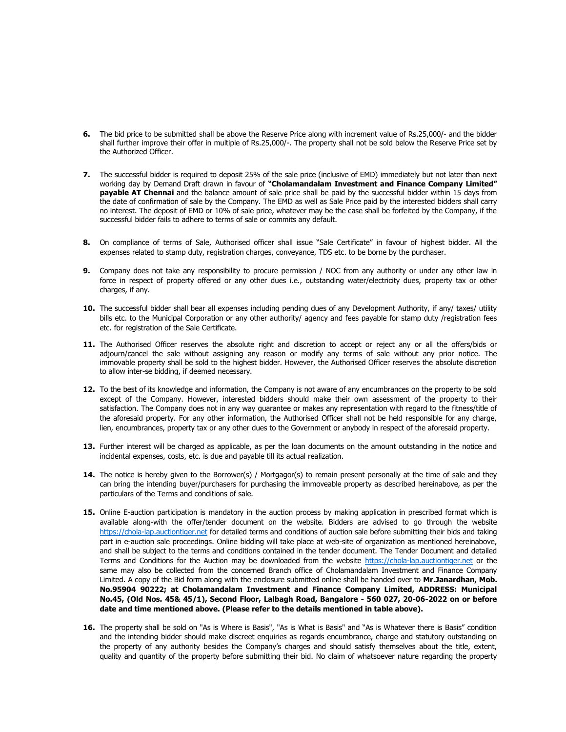- 6. The bid price to be submitted shall be above the Reserve Price along with increment value of Rs.25,000/- and the bidder shall further improve their offer in multiple of Rs.25,000/-. The property shall not be sold below the Reserve Price set by the Authorized Officer.
- 7. The successful bidder is required to deposit 25% of the sale price (inclusive of EMD) immediately but not later than next working day by Demand Draft drawn in favour of "Cholamandalam Investment and Finance Company Limited" payable AT Chennai and the balance amount of sale price shall be paid by the successful bidder within 15 days from the date of confirmation of sale by the Company. The EMD as well as Sale Price paid by the interested bidders shall carry no interest. The deposit of EMD or 10% of sale price, whatever may be the case shall be forfeited by the Company, if the successful bidder fails to adhere to terms of sale or commits any default.
- 8. On compliance of terms of Sale, Authorised officer shall issue "Sale Certificate" in favour of highest bidder. All the expenses related to stamp duty, registration charges, conveyance, TDS etc. to be borne by the purchaser.
- 9. Company does not take any responsibility to procure permission / NOC from any authority or under any other law in force in respect of property offered or any other dues i.e., outstanding water/electricity dues, property tax or other charges, if any.
- 10. The successful bidder shall bear all expenses including pending dues of any Development Authority, if any/ taxes/ utility bills etc. to the Municipal Corporation or any other authority/ agency and fees payable for stamp duty /registration fees etc. for registration of the Sale Certificate.
- 11. The Authorised Officer reserves the absolute right and discretion to accept or reject any or all the offers/bids or adjourn/cancel the sale without assigning any reason or modify any terms of sale without any prior notice. The immovable property shall be sold to the highest bidder. However, the Authorised Officer reserves the absolute discretion to allow inter-se bidding, if deemed necessary.
- 12. To the best of its knowledge and information, the Company is not aware of any encumbrances on the property to be sold except of the Company. However, interested bidders should make their own assessment of the property to their satisfaction. The Company does not in any way guarantee or makes any representation with regard to the fitness/title of the aforesaid property. For any other information, the Authorised Officer shall not be held responsible for any charge, lien, encumbrances, property tax or any other dues to the Government or anybody in respect of the aforesaid property.
- 13. Further interest will be charged as applicable, as per the loan documents on the amount outstanding in the notice and incidental expenses, costs, etc. is due and payable till its actual realization.
- 14. The notice is hereby given to the Borrower(s) / Mortgagor(s) to remain present personally at the time of sale and they can bring the intending buyer/purchasers for purchasing the immoveable property as described hereinabove, as per the particulars of the Terms and conditions of sale.
- 15. Online E-auction participation is mandatory in the auction process by making application in prescribed format which is available along-with the offer/tender document on the website. Bidders are advised to go through the website https://chola-lap.auctiontiger.net for detailed terms and conditions of auction sale before submitting their bids and taking part in e-auction sale proceedings. Online bidding will take place at web-site of organization as mentioned hereinabove, and shall be subject to the terms and conditions contained in the tender document. The Tender Document and detailed Terms and Conditions for the Auction may be downloaded from the website https://chola-lap.auctiontiger.net or the same may also be collected from the concerned Branch office of Cholamandalam Investment and Finance Company Limited. A copy of the Bid form along with the enclosure submitted online shall be handed over to Mr.Janardhan, Mob. No.95904 90222; at Cholamandalam Investment and Finance Company Limited, ADDRESS: Municipal No.45, (Old Nos. 45& 45/1), Second Floor, Lalbagh Road, Bangalore - 560 027, 20-06-2022 on or before date and time mentioned above. (Please refer to the details mentioned in table above).
- 16. The property shall be sold on "As is Where is Basis", "As is What is Basis" and "As is Whatever there is Basis" condition and the intending bidder should make discreet enquiries as regards encumbrance, charge and statutory outstanding on the property of any authority besides the Company's charges and should satisfy themselves about the title, extent, quality and quantity of the property before submitting their bid. No claim of whatsoever nature regarding the property